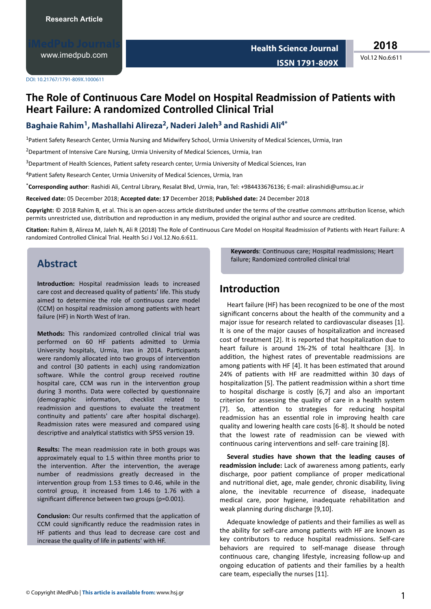[www.imedpub.com](http://www.imedpub.com/)

**2018**

Vol.12 No.6:611

DOI: 10.21767/1791-809X.1000611

# **The Role of Continuous Care Model on Hospital Readmission of Patients with Heart Failure: A randomized Controlled Clinical Trial**

### **Baghaie Rahim<sup>1</sup> , Mashallahi Alireza<sup>2</sup> , Naderi Jaleh<sup>3</sup> and Rashidi Ali4\***

<sup>1</sup>Patient Safety Research Center, Urmia Nursing and Midwifery School, Urmia University of Medical Sciences, Urmia, Iran

<sup>2</sup>Department of Intensive Care Nursing, Urmia University of Medical Sciences, Urmia, Iran

<sup>3</sup>Department of Health Sciences, Patient safety research center, Urmia University of Medical Sciences, Iran

<sup>4</sup> Patient Safety Research Center, Urmia University of Medical Sciences, Urmia, Iran

\***Corresponding author**: Rashidi Ali, Central Library, Resalat Blvd, Urmia, Iran, Tel: +984433676136; E-mail: alirashidi@umsu.ac.ir

**Received date:** 05 December 2018; **Accepted date: 17** December 2018; **Published date:** 24 December 2018

Copyright: © 2018 Rahim B, et al. This is an open-access article distributed under the terms of the creative commons attribution license, which permits unrestricted use, distribution and reproduction in any medium, provided the original author and source are credited.

**Citation:** Rahim B, Alireza M, Jaleh N, Ali R (2018) The Role of Continuous Care Model on Hospital Readmission of Patients with Heart Failure: A randomized Controlled Clinical Trial. Health Sci J Vol.12.No.6:611.

## **Abstract**

**Introduction:** Hospital readmission leads to increased care cost and decreased quality of patients' life. This study aimed to determine the role of continuous care model (CCM) on hospital readmission among patients with heart failure (HF) in North West of Iran.

**Methods:** This randomized controlled clinical trial was performed on 60 HF patients admitted to Urmia University hospitals, Urmia, Iran in 2014. Participants were randomly allocated into two groups of intervention and control (30 patients in each) using randomization software. While the control group received routine hospital care, CCM was run in the intervention group during 3 months. Data were collected by questionnaire (demographic information, checklist related to readmission and questions to evaluate the treatment continuity and patients' care after hospital discharge). Readmission rates were measured and compared using descriptive and analytical statistics with SPSS version 19.

**Results:** The mean readmission rate in both groups was approximately equal to 1.5 within three months prior to the intervention. After the intervention, the average number of readmissions greatly decreased in the intervention group from 1.53 times to 0.46, while in the control group, it increased from 1.46 to 1.76 with a significant difference between two groups (p=0.001).

**Conclusion:** Our results confirmed that the application of CCM could significantly reduce the readmission rates in HF patients and thus lead to decrease care cost and increase the quality of life in patients' with HF.

Keywords: Continuous care; Hospital readmissions; Heart failure; Randomized controlled clinical trial

### **Introduction**

Heart failure (HF) has been recognized to be one of the most significant concerns about the health of the community and a major issue for research related to cardiovascular diseases [1]. It is one of the major causes of hospitalization and increased cost of treatment [2]. It is reported that hospitalization due to heart failure is around 1%-2% of total healthcare [3]. In addition, the highest rates of preventable readmissions are among patients with HF [4]. It has been estimated that around 24% of patients with HF are readmitted within 30 days of hospitalization [5]. The patient readmission within a short time to hospital discharge is costly [6,7] and also an important criterion for assessing the quality of care in a health system [7]. So, attention to strategies for reducing hospital readmission has an essential role in improving health care quality and lowering health care costs [6-8]. It should be noted that the lowest rate of readmission can be viewed with continuous caring interventions and self- care training [8].

**Several studies have shown that the leading causes of** readmission include: Lack of awareness among patients, early discharge, poor patient compliance of proper medicational and nutritional diet, age, male gender, chronic disability, living alone, the inevitable recurrence of disease, inadequate medical care, poor hygiene, inadequate rehabilitation and weak planning during discharge [9,10].

Adequate knowledge of patients and their families as well as the ability for self-care among patients with HF are known as key contributors to reduce hospital readmissions. Self-care behaviors are required to self-manage disease through continuous care, changing lifestyle, increasing follow-up and ongoing education of patients and their families by a health care team, especially the nurses [11].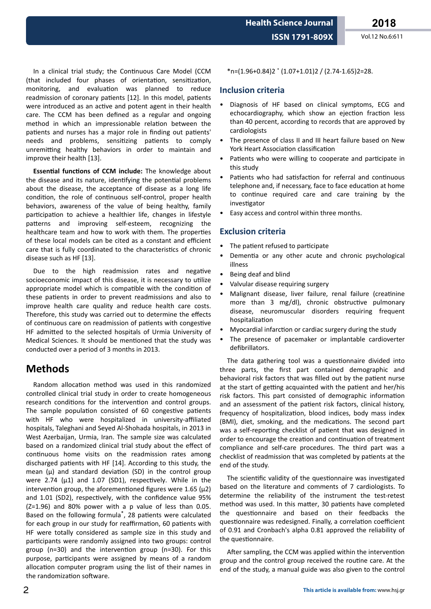**ISSN 1791-809X** Vol.12 No.6:611

In a clinical trial study; the Continuous Care Model (CCM (that included four phases of orientation, sensitization, monitoring, and evaluation was planned to reduce readmission of coronary patients [12]. In this model, patients were introduced as an active and potent agent in their health care. The CCM has been defined as a regular and ongoing method in which an impressionable relation between the patients and nurses has a major role in finding out patients' needs and problems, sensitizing patients to comply unremitting healthy behaviors in order to maintain and improve their health [13].

**Essential functions of CCM include:** The knowledge about the disease and its nature, identifying the potential problems about the disease, the acceptance of disease as a long life condition, the role of continuous self-control, proper health behaviors, awareness of the value of being healthy, family participation to achieve a healthier life, changes in lifestyle patterns and improving self-esteem, recognizing the healthcare team and how to work with them. The properties of these local models can be cited as a constant and efficient care that is fully coordinated to the characteristics of chronic disease such as HF [13].

Due to the high readmission rates and negative socioeconomic impact of this disease, it is necessary to utilize appropriate model which is compatible with the condition of these patients in order to prevent readmissions and also to improve health care quality and reduce health care costs. Therefore, this study was carried out to determine the effects of continuous care on readmission of patients with congestive HF admitted to the selected hospitals of Urmia University of Medical Sciences. It should be mentioned that the study was conducted over a period of 3 months in 2013.

## **Methods**

Random allocation method was used in this randomized controlled clinical trial study in order to create homogeneous research conditions for the intervention and control groups. The sample population consisted of 60 congestive patients with HF who were hospitalized in university-affiliated hospitals, Taleghani and Seyed Al-Shohada hospitals, in 2013 in West Azerbaijan, Urmia, Iran. The sample size was calculated based on a randomized clinical trial study about the effect of continuous home visits on the readmission rates among discharged patients with HF [14]. According to this study, the mean  $(\mu)$  and standard deviation (SD) in the control group were 2.74 ( $\mu$ 1) and 1.07 (SD1), respectively. While in the intervention group, the aforementioned figures were 1.65 ( $\mu$ 2) and 1.01 (SD2), respectively, with the confidence value 95% (Z=1.96) and 80% power with a p value of less than 0.05. Based on the following formula<sup>\*</sup>, 28 patients were calculated for each group in our study for reaffirmation, 60 patients with HF were totally considered as sample size in this study and participants were randomly assigned into two groups: control group (n=30) and the intervention group (n=30). For this purpose, participants were assigned by means of a random allocation computer program using the list of their names in the randomization software.

 $*$ n=(1.96+0.84)2 $*$  (1.07+1.01)2 / (2.74-1.65)2=28.

#### **Inclusion criteria**

- Diagnosis of HF based on clinical symptoms, ECG and echocardiography, which show an ejection fraction less than 40 percent, according to records that are approved by cardiologists
- The presence of class II and III heart failure based on New York Heart Association classification
- Patients who were willing to cooperate and participate in this study
- Patients who had satisfaction for referral and continuous telephone and, if necessary, face to face education at home to continue required care and care training by the investigator
- Easy access and control within three months.

#### **Exclusion criteria**

- The patient refused to participate
- Dementia or any other acute and chronic psychological illness
- Being deaf and blind
- Valvular disease requiring surgery
- Malignant disease, liver failure, renal failure (creatinine more than 3 mg/dl), chronic obstructive pulmonary disease, neuromuscular disorders requiring frequent hospitalization
- Myocardial infarction or cardiac surgery during the study
- The presence of pacemaker or implantable cardioverter defibrillators.

The data gathering tool was a questionnaire divided into three parts, the first part contained demographic and behavioral risk factors that was filled out by the patient nurse at the start of getting acquainted with the patient and her/his risk factors. This part consisted of demographic information and an assessment of the patient risk factors, clinical history, frequency of hospitalization, blood indices, body mass index (BMI), diet, smoking, and the medications. The second part was a self-reporting checklist of patient that was designed in order to encourage the creation and continuation of treatment compliance and self-care procedures. The third part was a checklist of readmission that was completed by patients at the end of the study.

The scientific validity of the questionnaire was investigated based on the literature and comments of 7 cardiologists. To determine the reliability of the instrument the test-retest method was used. In this matter, 30 patients have completed the questionnaire and based on their feedbacks the questionnaire was redesigned. Finally, a correlation coefficient of 0.91 and Cronbach's alpha 0.81 approved the reliability of the questionnaire.

After sampling, the CCM was applied within the intervention group and the control group received the routine care. At the end of the study, a manual guide was also given to the control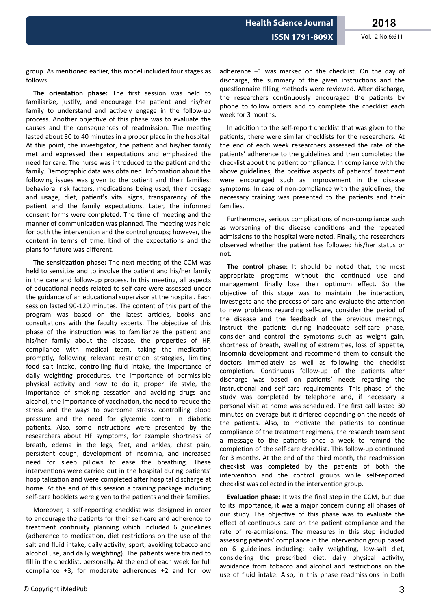group. As mentioned earlier, this model included four stages as follows:

**The orientation phase:** The first session was held to familiarize, justify, and encourage the patient and his/her family to understand and actively engage in the follow-up process. Another objective of this phase was to evaluate the causes and the consequences of readmission. The meeting lasted about 30 to 40 minutes in a proper place in the hospital. At this point, the investigator, the patient and his/her family met and expressed their expectations and emphasized the need for care. The nurse was introduced to the patient and the family. Demographic data was obtained. Information about the following issues was given to the patient and their families: behavioral risk factors, medications being used, their dosage and usage, diet, patient's vital signs, transparency of the patient and the family expectations. Later, the informed consent forms were completed. The time of meeting and the manner of communication was planned. The meeting was held for both the intervention and the control groups; however, the content in terms of time, kind of the expectations and the plans for future was different.

**The sensitization phase:** The next meeting of the CCM was held to sensitize and to involve the patient and his/her family in the care and follow-up process. In this meeting, all aspects of educational needs related to self-care were assessed under the guidance of an educational supervisor at the hospital. Each session lasted 90-120 minutes. The content of this part of the program was based on the latest articles, books and consultations with the faculty experts. The objective of this phase of the instruction was to familiarize the patient and his/her family about the disease, the properties of HF, compliance with medical team, taking the medication promptly, following relevant restriction strategies, limiting food salt intake, controlling fluid intake, the importance of daily weighting procedures, the importance of permissible physical activity and how to do it, proper life style, the importance of smoking cessation and avoiding drugs and alcohol, the importance of vaccination, the need to reduce the stress and the ways to overcome stress, controlling blood pressure and the need for glycemic control in diabetic patients. Also, some instructions were presented by the researchers about HF symptoms, for example shortness of breath, edema in the legs, feet, and ankles, chest pain, persistent cough, development of insomnia, and increased need for sleep pillows to ease the breathing. These interventions were carried out in the hospital during patients' hospitalization and were completed after hospital discharge at home. At the end of this session a training package including self-care booklets were given to the patients and their families.

Moreover, a self-reporting checklist was designed in order to encourage the patients for their self-care and adherence to treatment continuity planning which included 6 guidelines (adherence to medication, diet restrictions on the use of the salt and fluid intake, daily activity, sport, avoiding tobacco and alcohol use, and daily weighting). The patients were trained to fill in the checklist, personally. At the end of each week for full compliance +3, for moderate adherences +2 and for low adherence +1 was marked on the checklist. On the day of discharge, the summary of the given instructions and the questionnaire filling methods were reviewed. After discharge, the researchers continuously encouraged the patients by phone to follow orders and to complete the checklist each week for 3 months.

In addition to the self-report checklist that was given to the patients, there were similar checklists for the researchers. At the end of each week researchers assessed the rate of the patients' adherence to the guidelines and then completed the checklist about the patient compliance. In compliance with the above guidelines, the positive aspects of patients' treatment were encouraged such as improvement in the disease symptoms. In case of non-compliance with the guidelines, the necessary training was presented to the patients and their families.

Furthermore, serious complications of non-compliance such as worsening of the disease conditions and the repeated admissions to the hospital were noted. Finally, the researchers observed whether the patient has followed his/her status or not.

**The control phase:** It should be noted that, the most appropriate programs without the continued use and management finally lose their optimum effect. So the objective of this stage was to maintain the interaction, investigate and the process of care and evaluate the attention to new problems regarding self-care, consider the period of the disease and the feedback of the previous meetings, instruct the patients during inadequate self-care phase, consider and control the symptoms such as weight gain, shortness of breath, swelling of extremities, loss of appetite. insomnia development and recommend them to consult the doctors immediately as well as following the checklist completion. Continuous follow-up of the patients after discharge was based on patients' needs regarding the instructional and self-care requirements. This phase of the study was completed by telephone and, if necessary a personal visit at home was scheduled. The first call lasted 30 minutes on average but it differed depending on the needs of the patients. Also, to motivate the patients to continue compliance of the treatment regimens, the research team sent a message to the patients once a week to remind the completion of the self-care checklist. This follow-up continued for 3 months. At the end of the third month, the readmission checklist was completed by the patients of both the intervention and the control groups while self-reported checklist was collected in the intervention group.

**Evaluation phase:** It was the final step in the CCM, but due to its importance, it was a major concern during all phases of our study. The objective of this phase was to evaluate the effect of continuous care on the patient compliance and the rate of re-admissions. The measures in this step included assessing patients' compliance in the intervention group based on 6 guidelines including: daily weighting, low-salt diet, considering the prescribed diet, daily physical activity, avoidance from tobacco and alcohol and restrictions on the use of fluid intake. Also, in this phase readmissions in both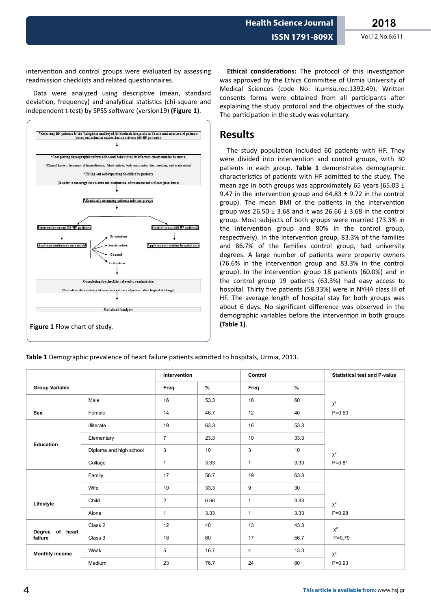**Health Science Journal**

intervention and control groups were evaluated by assessing readmission checklists and related questionnaires.

Data were analyzed using descriptive (mean, standard deviation, frequency) and analytical statistics (chi-square and independent t-test) by SPSS software (version19) (Figure 1).



**Ethical considerations:** The protocol of this investigation was approved by the Ethics Committee of Urmia University of Medical Sciences (code No: ir.umsu.rec.1392.49). Written consents forms were obtained from all participants after explaining the study protocol and the objectives of the study. The participation in the study was voluntary.

### **Results**

The study population included 60 patients with HF. They were divided into intervention and control groups, with 30 patients in each group. Table 1 demonstrates demographic characteristics of patients with HF admitted to the study. The mean age in both groups was approximately 65 years (65.03  $\pm$ 9.47 in the intervention group and  $64.83 \pm 9.72$  in the control group). The mean BMI of the patients in the intervention group was  $26.50 \pm 3.68$  and it was  $26.66 \pm 3.68$  in the control group. Most subjects of both groups were married (73.3% in the intervention group and 80% in the control group, respectively). In the intervention group, 83.3% of the families and 86.7% of the families control group, had university degrees. A large number of patients were property owners (76.6% in the intervention group and 83.3% in the control group). In the intervention group 18 patients (60.0%) and in the control group 19 patients (63.3%) had easy access to hospital. Thirty five patients (58.33%) were in NYHA class III of HF. The average length of hospital stay for both groups was about 6 days. No significant difference was observed in the demographic variables before the intervention in both groups **(Table 1)**.

**Table 1** Demographic prevalence of heart failure patients admitted to hospitals, Urmia, 2013.

|                               |                         | Intervention   |      | Control      |      | <b>Statistical test and P-value</b> |
|-------------------------------|-------------------------|----------------|------|--------------|------|-------------------------------------|
| <b>Group Variable</b>         |                         | Freq.          | %    | Freq.        | $\%$ |                                     |
|                               | Male                    | 16             | 53.3 | 18           | 60   | $\chi^2$                            |
| Sex                           | Female                  | 14             | 46.7 | 12           | 40   | $P = 0.60$                          |
|                               | Illiterate              | 19             | 63.3 | 16           | 53.3 |                                     |
|                               | Elementary              | $\overline{7}$ | 23.3 | 10           | 33.3 |                                     |
| <b>Education</b>              | Diploma and high school | 3              | 10   | 3            | 10   | $\chi^2$                            |
|                               | Collage                 | 1              | 3.33 | $\mathbf{1}$ | 3.33 | $P = 0.81$                          |
|                               | Family                  | 17             | 56.7 | 19           | 63.3 |                                     |
|                               | Wife                    | 10             | 33.3 | 9            | 30   |                                     |
| Lifestyle                     | Child                   | $\overline{c}$ | 6.66 | $\mathbf{1}$ | 3.33 | $\chi^2$                            |
|                               | Alone                   | 1              | 3.33 | 1            | 3.33 | $P = 0.98$                          |
|                               | Class 2                 | 12             | 40   | 13           | 43.3 | $\chi^2$                            |
| of heart<br>Degree<br>failure | Class 3                 | 18             | 60   | 17           | 56.7 | $P = 0.79$                          |
| <b>Monthly income</b>         | Weak                    | 5              | 16.7 | 4            | 13.3 | $\chi^2$                            |
|                               | Medium                  | 23             | 76.7 | 24           | 80   | $P = 0.93$                          |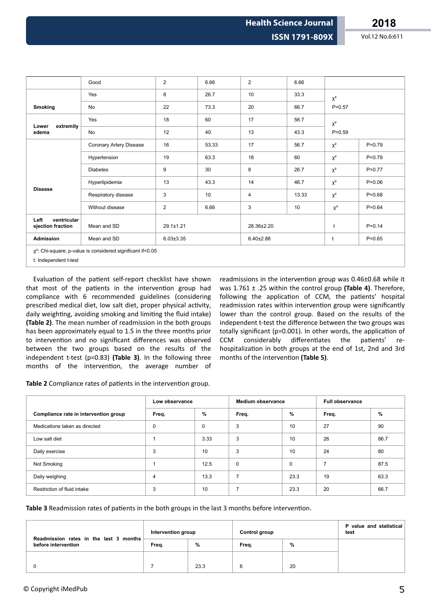|                                                                                                 | Good                    | $\overline{2}$  | 6.66  | $\overline{2}$  | 6.66  |            |            |
|-------------------------------------------------------------------------------------------------|-------------------------|-----------------|-------|-----------------|-------|------------|------------|
|                                                                                                 | Yes                     | 8               | 26.7  | 10              | 33.3  | $\chi^2$   |            |
| Smoking                                                                                         | No                      | 22              | 73.3  | 20              | 66.7  | $P = 0.57$ |            |
|                                                                                                 | Yes                     | 18              | 60    | 17              | 56.7  | $\chi^2$   |            |
| extremity<br>Lower<br>edema                                                                     | <b>No</b>               | 12              | 40    | 13              | 43.3  | $P = 0.59$ |            |
|                                                                                                 | Coronary Artery Disease | 16              | 53.33 | 17              | 56.7  | $X^2$      | $P = 0.79$ |
|                                                                                                 | Hypertension            | 19              | 63.3  | 18              | 60    | $\chi^2$   | $P=0.79$   |
|                                                                                                 | <b>Diabetes</b>         | 9               | 30    | 8               | 26.7  | $\chi^2$   | $P=0.77$   |
|                                                                                                 | Hyperlipidemia          | 13              | 43.3  | 14              | 46.7  | $\chi^2$   | $P = 0.06$ |
| <b>Disease</b>                                                                                  | Respiratory disease     | 3               | 10    | 4               | 13.33 | $\chi^2$   | $P = 0.68$ |
|                                                                                                 | Without disease         | $\overline{2}$  | 6.66  | 3               | 10    | $\chi^2$   | $P = 0.64$ |
| ventricular<br>Left<br>ejection fraction                                                        | Mean and SD             | $29.1 \pm 1.21$ |       | 28.36±2.20      |       | t          | $P = 0.14$ |
| <b>Admission</b>                                                                                | Mean and SD             | $6.03 \pm 3.35$ |       | $6.40 \pm 2.88$ |       | t          | $P = 0.65$ |
| x <sup>2</sup> : Chi-square; p-value is considered significant if<0.05<br>t: Independent t-test |                         |                 |       |                 |       |            |            |

Evaluation of the patient self-report checklist have shown that most of the patients in the intervention group had compliance with 6 recommended guidelines (considering prescribed medical diet, low salt diet, proper physical activity, daily weighting, avoiding smoking and limiting the fluid intake) **(Table 2)**. The mean number of readmission in the both groups has been approximately equal to 1.5 in the three months prior to intervention and no significant differences was observed between the two groups based on the results of the independent t-test (p=0.83) **(Table 3)**. In the following three months of the intervention, the average number of

readmissions in the intervention group was 0.46±0.68 while it was 1.761 ± .25 within the control group **(Table 4)**. Therefore, following the application of CCM, the patients' hospital readmission rates within intervention group were significantly lower than the control group. Based on the results of the independent t-test the difference between the two groups was totally significant (p=0.001). In other words, the application of CCM considerably differentiates the patients' rehospitalization in both groups at the end of 1st, 2nd and 3rd months of the intervention (Table 5).

Table 2 Compliance rates of patients in the intervention group.

|                                       | Low observance |      | Medium observance |      | Full observance |      |
|---------------------------------------|----------------|------|-------------------|------|-----------------|------|
| Compliance rate in intervention group | Freq.          | %    | Freq.             | %    | Freq.           | %    |
| Medications taken as directed         | 0              | 0    | 3                 | 10   | 27              | 90   |
| Low salt diet                         |                | 3.33 | 3                 | 10   | 26              | 86.7 |
| Daily exercise                        | 3              | 10   | 3                 | 10   | 24              | 80   |
| Not Smoking                           |                | 12.5 | $\mathbf 0$       | 0    |                 | 87.5 |
| Daily weighing                        | 4              | 13.3 | $\overline{ }$    | 23.3 | 19              | 63.3 |
| Restriction of fluid intake           | 3              | 10   | 7                 | 23.3 | 20              | 66.7 |

Table 3 Readmission rates of patients in the both groups in the last 3 months before intervention.

| Readmission rates in the last 3 months | Intervention group |               | Control group |    | P value and statistical<br>test |
|----------------------------------------|--------------------|---------------|---------------|----|---------------------------------|
| before intervention                    | Freq.              | $\frac{0}{0}$ | Freq.         | %  |                                 |
|                                        |                    |               |               |    |                                 |
|                                        |                    | 23.3          | 6             | 20 |                                 |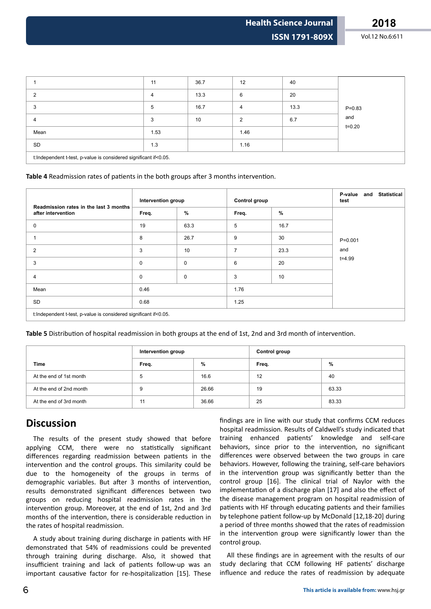**Health Science Journal**

|                                                                  | 11   | 36.7 | 12             | 40   |            |  |  |
|------------------------------------------------------------------|------|------|----------------|------|------------|--|--|
|                                                                  | 4    | 13.3 | 6              | 20   |            |  |  |
| 3                                                                | 5    | 16.7 | $\overline{4}$ | 13.3 | $P = 0.83$ |  |  |
| 4                                                                | 3    | 10   | $\overline{2}$ | 6.7  | and        |  |  |
| Mean                                                             | 1.53 |      | 1.46           |      | $t = 0.20$ |  |  |
| SD                                                               | 1.3  |      | 1.16           |      |            |  |  |
| t:Independent t-test, p-value is considered significant if<0.05. |      |      |                |      |            |  |  |

Table 4 Readmission rates of patients in the both groups after 3 months intervention.

| Readmission rates in the last 3 months<br>after intervention     | Intervention group |             | <b>Control group</b> |      | <b>Statistical</b><br>P-value<br>and<br>test |  |  |  |
|------------------------------------------------------------------|--------------------|-------------|----------------------|------|----------------------------------------------|--|--|--|
|                                                                  | Freq.              | %           | Freq.                | %    |                                              |  |  |  |
| 0                                                                | 19                 | 63.3        | 5                    | 16.7 |                                              |  |  |  |
|                                                                  | 8                  | 26.7        | 9                    | 30   | $P = 0.001$                                  |  |  |  |
| 2                                                                | 3                  | 10          | 7                    | 23.3 | and                                          |  |  |  |
| 3                                                                | $\mathbf 0$        | 0           | 6                    | 20   | $t = 4.99$                                   |  |  |  |
| 4                                                                | $\mathbf 0$        | $\mathbf 0$ | 3                    | 10   |                                              |  |  |  |
| Mean                                                             | 0.46               |             | 1.76                 |      |                                              |  |  |  |
| SD                                                               | 0.68               |             | 1.25                 |      |                                              |  |  |  |
| t:Independent t-test, p-value is considered significant if<0.05. |                    |             |                      |      |                                              |  |  |  |

**Table 5** Distribution of hospital readmission in both groups at the end of 1st, 2nd and 3rd month of intervention.

|                         | Intervention group |       | Control group |       |
|-------------------------|--------------------|-------|---------------|-------|
| <b>Time</b><br>Freq.    |                    | %     | Freq.         | %     |
| At the end of 1st month | 5                  | 16.6  | 12            | 40    |
| At the end of 2nd month | 9                  | 26.66 | 19            | 63.33 |
| At the end of 3rd month | 11                 | 36.66 | 25            | 83.33 |

## **Discussion**

The results of the present study showed that before applying CCM, there were no statistically significant differences regarding readmission between patients in the intervention and the control groups. This similarity could be due to the homogeneity of the groups in terms of demographic variables. But after 3 months of intervention, results demonstrated significant differences between two groups on reducing hospital readmission rates in the intervention group. Moreover, at the end of 1st, 2nd and 3rd months of the intervention, there is considerable reduction in the rates of hospital readmission.

A study about training during discharge in patients with HF demonstrated that 54% of readmissions could be prevented through training during discharge. Also, it showed that insufficient training and lack of patients follow-up was an important causative factor for re-hospitalization [15]. These

findings are in line with our study that confirms CCM reduces hospital readmission. Results of Caldwell's study indicated that training enhanced patients' knowledge and self-care behaviors, since prior to the intervention, no significant differences were observed between the two groups in care behaviors. However, following the training, self-care behaviors in the intervention group was significantly better than the control group [16]. The clinical trial of Naylor with the implementation of a discharge plan [17] and also the effect of the disease management program on hospital readmission of patients with HF through educating patients and their families by telephone patient follow-up by McDonald [12,18-20] during a period of three months showed that the rates of readmission in the intervention group were significantly lower than the control group.

All these findings are in agreement with the results of our study declaring that CCM following HF patients' discharge influence and reduce the rates of readmission by adequate